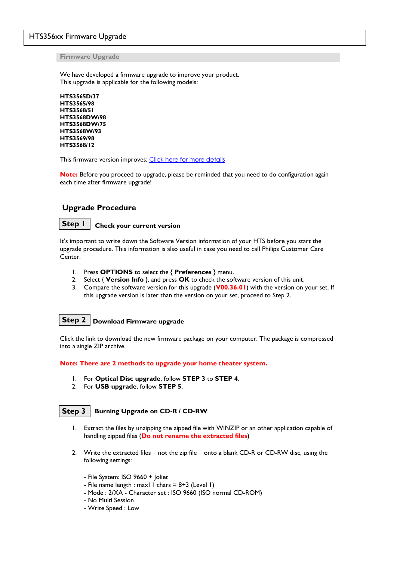#### HTS356xx Firmware Upgrade

**Firmware Upgrade**

We have developed a firmware upgrade to improve your product. This upgrade is applicable for the following models:

```
HTS3565D/37
HTS3565/98
HTS3568/51
HTS3568DW/98
HTS3568DW/75
HTS3568W/93
HTS3569/98
HTS3568/12
```
This firmware version improves: [Click here for more details](#page-2-0)

**Note:** Before you proceed to upgrade, please be reminded that you need to do configuration again each time after firmware upgrade!

#### **Upgrade Procedure**

#### **Step 1**

**Check your current version**

It's important to write down the Software Version information of your HTS before you start the upgrade procedure. This information is also useful in case you need to call Philips Customer Care Center.

- 1. Press **OPTIONS** to select the { **Preferences** } menu.
- 2. Select { **Version Info** }, and press **OK** to check the software version of this unit.
- 3. Compare the software version for this upgrade (**V00.36.01**) with the version on your set. If this upgrade version is later than the version on your set, proceed to Step 2.

### **Download Firmware upgrade Step 2**

Click the link to download the new firmware package on your computer. The package is compressed into a single ZIP archive.

**Note: There are 2 methods to upgrade your home theater system.** 

- 1. For **Optical Disc upgrade**, follow **STEP 3** to **STEP 4**.
- 2. For **USB upgrade**, follow **STEP 5**.

#### **Step 3**

**Burning Upgrade on CD-R / CD-RW**

- 1. Extract the files by unzipping the zipped file with WINZIP or an other application capable of handling zipped files (**Do not rename the extracted files**)
- 2. Write the extracted files not the zip file onto a blank CD-R or CD-RW disc, using the following settings:
	- File System: ISO 9660 + Joliet
	- File name length : max11 chars =  $8+3$  (Level 1)
	- Mode : 2/XA Character set : ISO 9660 (ISO normal CD-ROM)
	- No Multi Session
	- Write Speed : Low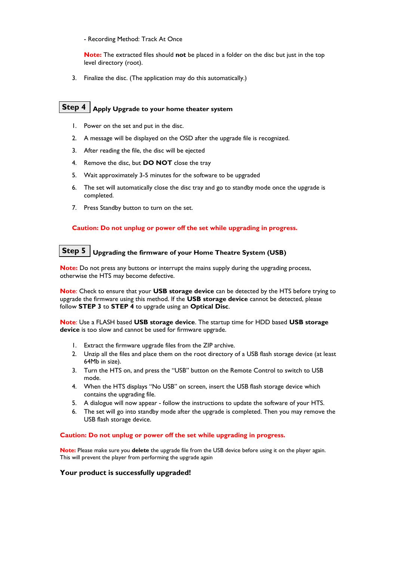- Recording Method: Track At Once

**Note:** The extracted files should **not** be placed in a folder on the disc but just in the top level directory (root).

3. Finalize the disc. (The application may do this automatically.)

## **Step 4**  $\vert$  Apply Upgrade to your home theater system

- 1. Power on the set and put in the disc.
- 2. A message will be displayed on the OSD after the upgrade file is recognized.
- 3. After reading the file, the disc will be ejected
- 4. Remove the disc, but **DO NOT** close the tray
- 5. Wait approximately 3-5 minutes for the software to be upgraded
- 6. The set will automatically close the disc tray and go to standby mode once the upgrade is completed.
- 7. Press Standby button to turn on the set.

#### **Caution: Do not unplug or power off the set while upgrading in progress.**

# **Upgrading the firmware of your Home Theatre System (USB) Step 5**

**Note:** Do not press any buttons or interrupt the mains supply during the upgrading process, otherwise the HTS may become defective.

**Note**: Check to ensure that your **USB storage device** can be detected by the HTS before trying to upgrade the firmware using this method. If the **USB storage device** cannot be detected, please follow **STEP 3** to **STEP 4** to upgrade using an **Optical Disc**.

**Note**: Use a FLASH based **USB storage device**. The startup time for HDD based **USB storage device** is too slow and cannot be used for firmware upgrade.

- 1. Extract the firmware upgrade files from the ZIP archive.
- 2. Unzip all the files and place them on the root directory of a USB flash storage device (at least 64Mb in size).
- 3. Turn the HTS on, and press the "USB" button on the Remote Control to switch to USB mode.
- 4. When the HTS displays "No USB" on screen, insert the USB flash storage device which contains the upgrading file.
- 5. A dialogue will now appear follow the instructions to update the software of your HTS.
- 6. The set will go into standby mode after the upgrade is completed. Then you may remove the USB flash storage device.

#### **Caution: Do not unplug or power off the set while upgrading in progress.**

**Note:** Please make sure you **delete** the upgrade file from the USB device before using it on the player again. This will prevent the player from performing the upgrade again

#### **Your product is successfully upgraded!**